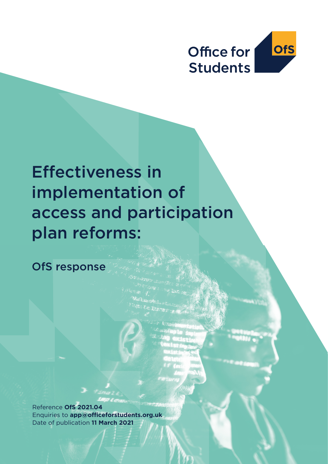

# Effectiveness in implementation of access and participation plan reforms:

OfS response

 $\mathcal{L}$  and  $\mathcal{L}$  and  $\mathcal{L}$ 

**Reference OfS 2021.04** Date of publication **?? March 2021** Date of publication **11 March 2021**Enquiries to **app@officeforstudents.org.uk**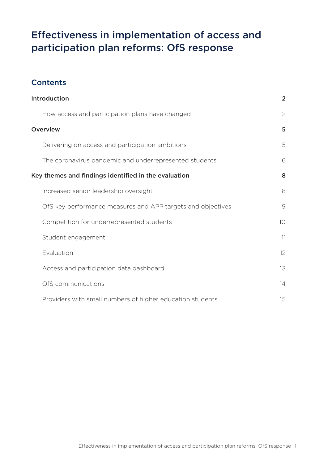## Effectiveness in implementation of access and participation plan reforms: OfS response

### **Contents**

| Introduction                                                | $\overline{2}$  |
|-------------------------------------------------------------|-----------------|
| How access and participation plans have changed             | $\overline{2}$  |
| <b>Overview</b>                                             | 5               |
| Delivering on access and participation ambitions            | 5               |
| The coronavirus pandemic and underrepresented students      | 6               |
| Key themes and findings identified in the evaluation        | 8               |
| Increased senior leadership oversight                       | 8               |
| OfS key performance measures and APP targets and objectives | 9               |
| Competition for underrepresented students                   | 10 <sup>°</sup> |
| Student engagement                                          | 11              |
| Evaluation                                                  | 12              |
| Access and participation data dashboard                     | 13              |
| OfS communications                                          | 14              |
| Providers with small numbers of higher education students   | 15              |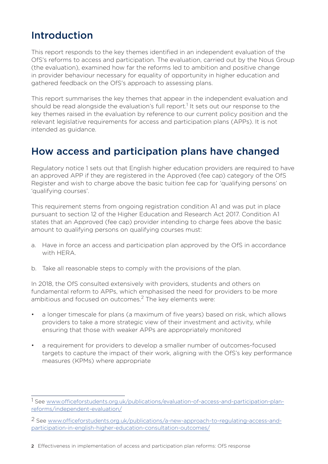## Introduction

This report responds to the key themes identified in an independent evaluation of the OfS's reforms to access and participation. The evaluation, carried out by the Nous Group (the evaluation), examined how far the reforms led to ambition and positive change in provider behaviour necessary for equality of opportunity in higher education and gathered feedback on the OfS's approach to assessing plans.

This report summarises the key themes that appear in the independent evaluation and should be read alongside the evaluation's full report.<sup>1</sup> It sets out our response to the key themes raised in the evaluation by reference to our current policy position and the relevant legislative requirements for access and participation plans (APPs). It is not intended as guidance.

## How access and participation plans have changed

Regulatory notice 1 sets out that English higher education providers are required to have an approved APP if they are registered in the Approved (fee cap) category of the OfS Register and wish to charge above the basic tuition fee cap for 'qualifying persons' on 'qualifying courses'.

This requirement stems from ongoing registration condition A1 and was put in place pursuant to section 12 of the Higher Education and Research Act 2017. Condition A1 states that an Approved (fee cap) provider intending to charge fees above the basic amount to qualifying persons on qualifying courses must:

- a. Have in force an access and participation plan approved by the OfS in accordance with HFRA
- b. Take all reasonable steps to comply with the provisions of the plan.

In 2018, the OfS consulted extensively with providers, students and others on fundamental reform to APPs, which emphasised the need for providers to be more ambitious and focused on outcomes.<sup>2</sup> The key elements were:

- a longer timescale for plans (a maximum of five years) based on risk, which allows providers to take a more strategic view of their investment and activity, while ensuring that those with weaker APPs are appropriately monitored
- a requirement for providers to develop a smaller number of outcomes-focused targets to capture the impact of their work, aligning with the OfS's key performance measures (KPMs) where appropriate

<sup>1</sup> See www.officeforstudents.org.uk/publications/evaluation-of-access-and-participation-planreforms/independent-evaluation/

<sup>2</sup> See www.officeforstudents.org.uk/publications/a-new-approach-to-regulating-access-andparticipation-in-english-higher-education-consultation-outcomes/

<sup>2</sup> Effectiveness in implementation of access and participation plan reforms: OfS response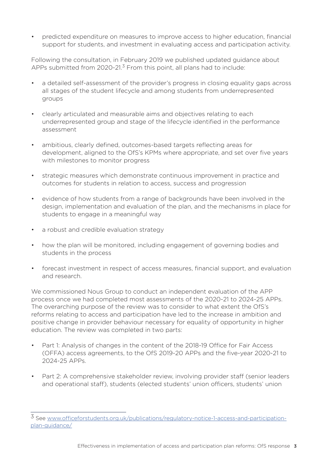• predicted expenditure on measures to improve access to higher education, financial support for students, and investment in evaluating access and participation activity.

Following the consultation, in February 2019 we published updated guidance about APPs submitted from  $2020-21$ <sup>3</sup> From this point, all plans had to include:

- a detailed self-assessment of the provider's progress in closing equality gaps across all stages of the student lifecycle and among students from underrepresented groups
- clearly articulated and measurable aims and objectives relating to each underrepresented group and stage of the lifecycle identified in the performance assessment
- ambitious, clearly defined, outcomes-based targets reflecting areas for development, aligned to the OfS's KPMs where appropriate, and set over five years with milestones to monitor progress
- strategic measures which demonstrate continuous improvement in practice and outcomes for students in relation to access, success and progression
- evidence of how students from a range of backgrounds have been involved in the design, implementation and evaluation of the plan, and the mechanisms in place for students to engage in a meaningful way
- a robust and credible evaluation strategy
- how the plan will be monitored, including engagement of governing bodies and students in the process
- forecast investment in respect of access measures, financial support, and evaluation and research.

We commissioned Nous Group to conduct an independent evaluation of the APP process once we had completed most assessments of the 2020-21 to 2024-25 APPs. The overarching purpose of the review was to consider to what extent the OfS's reforms relating to access and participation have led to the increase in ambition and positive change in provider behaviour necessary for equality of opportunity in higher education. The review was completed in two parts:

- Part 1: Analysis of changes in the content of the 2018-19 Office for Fair Access (OFFA) access agreements, to the OfS 2019-20 APPs and the five-year 2020-21 to 2024-25 APPs.
- Part 2: A comprehensive stakeholder review, involving provider staff (senior leaders and operational staff), students (elected students' union officers, students' union

<sup>3</sup> See www.officeforstudents.org.uk/publications/regulatory-notice-1-access-and-participationplan-guidance/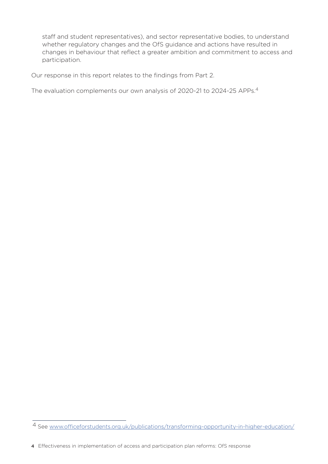staff and student representatives), and sector representative bodies, to understand whether regulatory changes and the OfS guidance and actions have resulted in changes in behaviour that reflect a greater ambition and commitment to access and participation.

Our response in this report relates to the findings from Part 2.

The evaluation complements our own analysis of 2020-21 to 2024-25 APPs.4

<sup>4</sup> See www.officeforstudents.org.uk/publications/transforming-opportunity-in-higher-education/

<sup>4</sup> Effectiveness in implementation of access and participation plan reforms: OfS response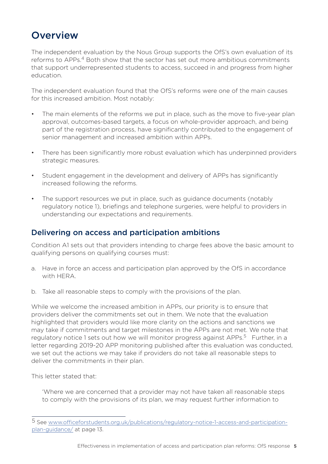## **Overview**

The independent evaluation by the Nous Group supports the OfS's own evaluation of its reforms to APPs.<sup>4</sup> Both show that the sector has set out more ambitious commitments that support underrepresented students to access, succeed in and progress from higher education.

The independent evaluation found that the OfS's reforms were one of the main causes for this increased ambition. Most notably:

- The main elements of the reforms we put in place, such as the move to five-year plan approval, outcomes-based targets, a focus on whole-provider approach, and being part of the registration process, have significantly contributed to the engagement of senior management and increased ambition within APPs.
- There has been significantly more robust evaluation which has underpinned providers strategic measures.
- Student engagement in the development and delivery of APPs has significantly increased following the reforms.
- The support resources we put in place, such as guidance documents (notably regulatory notice 1), briefings and telephone surgeries, were helpful to providers in understanding our expectations and requirements.

#### Delivering on access and participation ambitions

Condition A1 sets out that providers intending to charge fees above the basic amount to qualifying persons on qualifying courses must:

- a. Have in force an access and participation plan approved by the OfS in accordance with HERA.
- b. Take all reasonable steps to comply with the provisions of the plan.

While we welcome the increased ambition in APPs, our priority is to ensure that providers deliver the commitments set out in them. We note that the evaluation highlighted that providers would like more clarity on the actions and sanctions we may take if commitments and target milestones in the APPs are not met. We note that regulatory notice 1 sets out how we will monitor progress against APPs.<sup>5</sup> Further, in a letter regarding 2019-20 APP monitoring published after this evaluation was conducted, we set out the actions we may take if providers do not take all reasonable steps to deliver the commitments in their plan.

This letter stated that:

 'Where we are concerned that a provider may not have taken all reasonable steps to comply with the provisions of its plan, we may request further information to

<sup>5</sup> See www.officeforstudents.org.uk/publications/regulatory-notice-1-access-and-participationplan-guidance/ at page 13.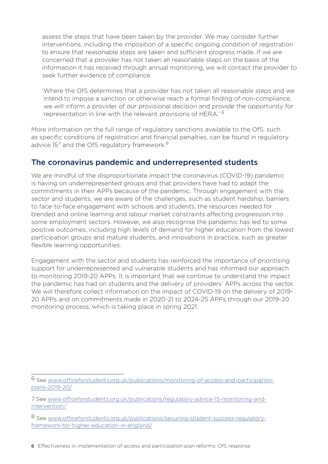assess the steps that have been taken by the provider. We may consider further interventions, including the imposition of a specific ongoing condition of registration to ensure that reasonable steps are taken and sufficient progress made. If we are concerned that a provider has not taken all reasonable steps on the basis of the information it has received through annual monitoring, we will contact the provider to seek further evidence of compliance.

'Where the OfS determines that a provider has not taken all reasonable steps and we intend to impose a sanction or otherwise reach a formal finding of non-compliance, we will inform a provider of our provisional decision and provide the opportunity for representation in line with the relevant provisions of HERA.' <sup>6</sup>

More information on the full range of regulatory sanctions available to the OfS, such as specific conditions of registration and financial penalties, can be found in regulatory advice  $15<sup>7</sup>$  and the OfS regulatory framework.<sup>8</sup>

#### The coronavirus pandemic and underrepresented students

We are mindful of the disproportionate impact the coronavirus (COVID-19) pandemic is having on underrepresented groups and that providers have had to adapt the commitments in their APPs because of the pandemic. Through engagement with the sector and students, we are aware of the challenges, such as student hardship, barriers to face-to-face engagement with schools and students, the resources needed for blended and online learning and labour market constraints affecting progression into some employment sectors. However, we also recognise the pandemic has led to some positive outcomes, including high levels of demand for higher education from the lowest participation groups and mature students, and innovations in practice, such as greater flexible learning opportunities.

Engagement with the sector and students has reinforced the importance of prioritising support for underrepresented and vulnerable students and has informed our approach to monitoring 2019-20 APPs. It is important that we continue to understand the impact the pandemic has had on students and the delivery of providers' APPs across the sector. We will therefore collect information on the impact of COVID-19 on the delivery of 2019- 20 APPs and on commitments made in 2020-21 to 2024-25 APPs through our 2019-20 monitoring process, which is taking place in spring 2021.

<sup>6</sup> See www.officeforstudents.org.uk/publications/monitoring-of-access-and-participationplans-2019-20/

<sup>7</sup> See www.officeforstudents.org.uk/publications/regulatory-advice-15-monitoring-andintervention/

<sup>8</sup> See www.officeforstudents.org.uk/publications/securing-student-success-regulatoryframework-for-higher-education-in-england/

<sup>6</sup> Effectiveness in implementation of access and participation plan reforms: OfS response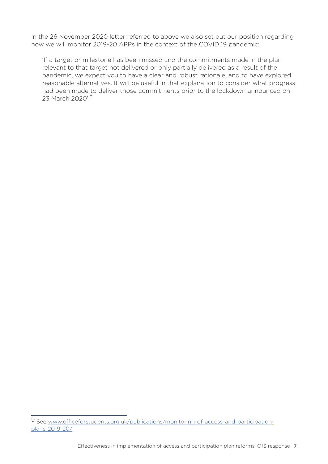In the 26 November 2020 letter referred to above we also set out our position regarding how we will monitor 2019-20 APPs in the context of the COVID 19 pandemic:

 'If a target or milestone has been missed and the commitments made in the plan relevant to that target not delivered or only partially delivered as a result of the pandemic, we expect you to have a clear and robust rationale, and to have explored reasonable alternatives. It will be useful in that explanation to consider what progress had been made to deliver those commitments prior to the lockdown announced on 23 March 2020'.<sup>9</sup>

<sup>9</sup> See www.officeforstudents.org.uk/publications/monitoring-of-access-and-participationplans-2019-20/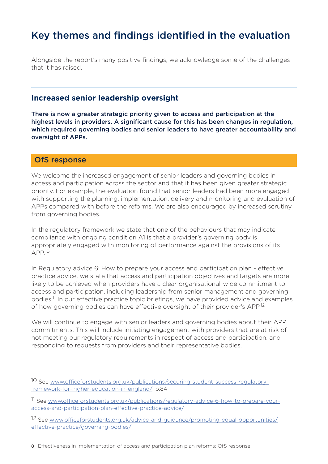## Key themes and findings identified in the evaluation

Alongside the report's many positive findings, we acknowledge some of the challenges that it has raised.

#### **Increased senior leadership oversight**

There is now a greater strategic priority given to access and participation at the highest levels in providers. A significant cause for this has been changes in regulation, which required governing bodies and senior leaders to have greater accountability and oversight of APPs.

#### OfS response

We welcome the increased engagement of senior leaders and governing bodies in access and participation across the sector and that it has been given greater strategic priority. For example, the evaluation found that senior leaders had been more engaged with supporting the planning, implementation, delivery and monitoring and evaluation of APPs compared with before the reforms. We are also encouraged by increased scrutiny from governing bodies.

In the regulatory framework we state that one of the behaviours that may indicate compliance with ongoing condition A1 is that a provider's governing body is appropriately engaged with monitoring of performance against the provisions of its  $APP<sup>10</sup>$ 

In Regulatory advice 6: How to prepare your access and participation plan - effective practice advice, we state that access and participation objectives and targets are more likely to be achieved when providers have a clear organisational-wide commitment to access and participation, including leadership from senior management and governing bodies.<sup>11</sup> In our effective practice topic briefings, we have provided advice and examples of how governing bodies can have effective oversight of their provider's APP.<sup>12</sup>

We will continue to engage with senior leaders and governing bodies about their APP commitments. This will include initiating engagement with providers that are at risk of not meeting our regulatory requirements in respect of access and participation, and responding to requests from providers and their representative bodies.

<sup>10</sup> See www.officeforstudents.org.uk/publications/securing-student-success-regulatoryframework-for-higher-education-in-england/, p.84

<sup>11</sup> See www.officeforstudents.org.uk/publications/regulatory-advice-6-how-to-prepare-youraccess-and-participation-plan-effective-practice-advice/

<sup>12</sup> See www.officeforstudents.org.uk/advice-and-guidance/promoting-equal-opportunities/ effective-practice/governing-bodies/

<sup>8</sup> Effectiveness in implementation of access and participation plan reforms: OfS response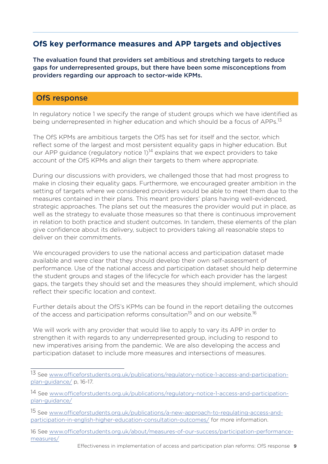#### **OfS key performance measures and APP targets and objectives**

The evaluation found that providers set ambitious and stretching targets to reduce gaps for underrepresented groups, but there have been some misconceptions from providers regarding our approach to sector-wide KPMs.

#### OfS response

In regulatory notice 1 we specify the range of student groups which we have identified as being underrepresented in higher education and which should be a focus of APPs.<sup>13</sup>

The OfS KPMs are ambitious targets the OfS has set for itself and the sector, which reflect some of the largest and most persistent equality gaps in higher education. But our APP guidance (regulatory notice  $1$ )<sup>14</sup> explains that we expect providers to take account of the OfS KPMs and align their targets to them where appropriate.

During our discussions with providers, we challenged those that had most progress to make in closing their equality gaps. Furthermore, we encouraged greater ambition in the setting of targets where we considered providers would be able to meet them due to the measures contained in their plans. This meant providers' plans having well-evidenced, strategic approaches. The plans set out the measures the provider would put in place, as well as the strategy to evaluate those measures so that there is continuous improvement in relation to both practice and student outcomes. In tandem, these elements of the plan give confidence about its delivery, subject to providers taking all reasonable steps to deliver on their commitments.

We encouraged providers to use the national access and participation dataset made available and were clear that they should develop their own self-assessment of performance. Use of the national access and participation dataset should help determine the student groups and stages of the lifecycle for which each provider has the largest gaps, the targets they should set and the measures they should implement, which should reflect their specific location and context.

Further details about the OfS's KPMs can be found in the report detailing the outcomes of the access and participation reforms consultation<sup>15</sup> and on our website.<sup>16</sup>

We will work with any provider that would like to apply to vary its APP in order to strengthen it with regards to any underrepresented group, including to respond to new imperatives arising from the pandemic. We are also developing the access and participation dataset to include more measures and intersections of measures.

16 See www.officeforstudents.org.uk/about/measures-of-our-success/participation-performancemeasures/

<sup>13</sup> See www.officeforstudents.org.uk/publications/regulatory-notice-1-access-and-participationplan-guidance/ p, 16-17.

<sup>14</sup> See www.officeforstudents.org.uk/publications/regulatory-notice-1-access-and-participationplan-guidance/

<sup>15</sup> See www.officeforstudents.org.uk/publications/a-new-approach-to-regulating-access-andparticipation-in-english-higher-education-consultation-outcomes/ for more information.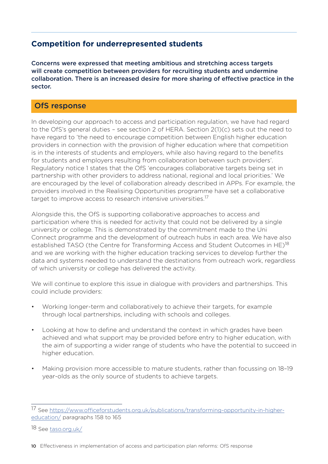#### **Competition for underrepresented students**

Concerns were expressed that meeting ambitious and stretching access targets will create competition between providers for recruiting students and undermine collaboration. There is an increased desire for more sharing of effective practice in the sector.

#### OfS response

In developing our approach to access and participation regulation, we have had regard to the OfS's general duties – see section 2 of HERA. Section 2(1)(c) sets out the need to have regard to 'the need to encourage competition between English higher education providers in connection with the provision of higher education where that competition is in the interests of students and employers, while also having regard to the benefits for students and employers resulting from collaboration between such providers'. Regulatory notice 1 states that the OfS 'encourages collaborative targets being set in partnership with other providers to address national, regional and local priorities.' We are encouraged by the level of collaboration already described in APPs. For example, the providers involved in the Realising Opportunities programme have set a collaborative target to improve access to research intensive universities.<sup>17</sup>

Alongside this, the OfS is supporting collaborative approaches to access and participation where this is needed for activity that could not be delivered by a single university or college. This is demonstrated by the commitment made to the Uni Connect programme and the development of outreach hubs in each area. We have also established TASO (the Centre for Transforming Access and Student Outcomes in HE)<sup>18</sup> and we are working with the higher education tracking services to develop further the data and systems needed to understand the destinations from outreach work, regardless of which university or college has delivered the activity.

We will continue to explore this issue in dialogue with providers and partnerships. This could include providers:

- Working longer-term and collaboratively to achieve their targets, for example through local partnerships, including with schools and colleges.
- Looking at how to define and understand the context in which grades have been achieved and what support may be provided before entry to higher education, with the aim of supporting a wider range of students who have the potential to succeed in higher education.
- Making provision more accessible to mature students, rather than focussing on 18–19 year-olds as the only source of students to achieve targets.

<sup>17</sup> See https://www.officeforstudents.org.uk/publications/transforming-opportunity-in-highereducation/ paragraphs 158 to 165

<sup>18</sup> See taso.org.uk/

<sup>10</sup> Effectiveness in implementation of access and participation plan reforms: OfS response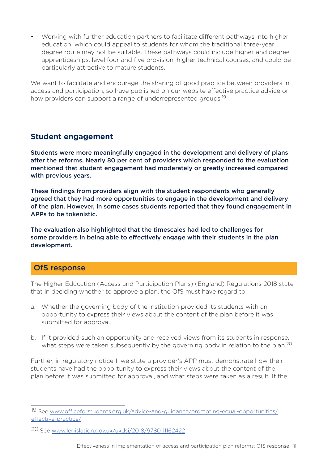• Working with further education partners to facilitate different pathways into higher education, which could appeal to students for whom the traditional three-year degree route may not be suitable. These pathways could include higher and degree apprenticeships, level four and five provision, higher technical courses, and could be particularly attractive to mature students.

We want to facilitate and encourage the sharing of good practice between providers in access and participation, so have published on our website effective practice advice on how providers can support a range of underrepresented groups.<sup>19</sup>

#### **Student engagement**

Students were more meaningfully engaged in the development and delivery of plans after the reforms. Nearly 80 per cent of providers which responded to the evaluation mentioned that student engagement had moderately or greatly increased compared with previous years.

These findings from providers align with the student respondents who generally agreed that they had more opportunities to engage in the development and delivery of the plan. However, in some cases students reported that they found engagement in APPs to be tokenistic.

The evaluation also highlighted that the timescales had led to challenges for some providers in being able to effectively engage with their students in the plan development.

#### OfS response

The Higher Education (Access and Participation Plans) (England) Regulations 2018 state that in deciding whether to approve a plan, the OfS must have regard to:

- a. Whether the governing body of the institution provided its students with an opportunity to express their views about the content of the plan before it was submitted for approval.
- b. If it provided such an opportunity and received views from its students in response, what steps were taken subsequently by the governing body in relation to the plan.<sup>20</sup>

Further, in regulatory notice 1, we state a provider's APP must demonstrate how their students have had the opportunity to express their views about the content of the plan before it was submitted for approval, and what steps were taken as a result. If the

<sup>19</sup> See www.officeforstudents.org.uk/advice-and-guidance/promoting-equal-opportunities/ effective-practice/

<sup>20</sup> See www.legislation.gov.uk/ukdsi/2018/9780111162422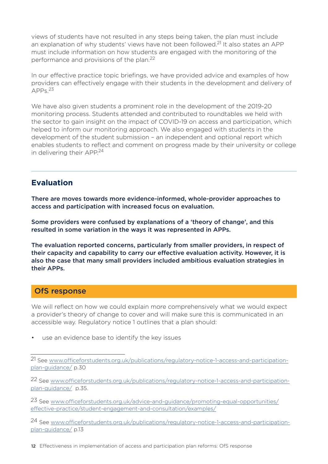views of students have not resulted in any steps being taken, the plan must include an explanation of why students' views have not been followed.<sup>21</sup> It also states an APP must include information on how students are engaged with the monitoring of the performance and provisions of the plan.<sup>22</sup>

In our effective practice topic briefings, we have provided advice and examples of how providers can effectively engage with their students in the development and delivery of  $APP<sub>s</sub>$ <sup>23</sup>

We have also given students a prominent role in the development of the 2019-20 monitoring process. Students attended and contributed to roundtables we held with the sector to gain insight on the impact of COVID-19 on access and participation, which helped to inform our monitoring approach. We also engaged with students in the development of the student submission – an independent and optional report which enables students to reflect and comment on progress made by their university or college in delivering their  $APP<sup>24</sup>$ 

#### **Evaluation**

There are moves towards more evidence-informed, whole-provider approaches to access and participation with increased focus on evaluation.

Some providers were confused by explanations of a 'theory of change', and this resulted in some variation in the ways it was represented in APPs.

The evaluation reported concerns, particularly from smaller providers, in respect of their capacity and capability to carry our effective evaluation activity. However, it is also the case that many small providers included ambitious evaluation strategies in their APPs.

#### OfS response

We will reflect on how we could explain more comprehensively what we would expect a provider's theory of change to cover and will make sure this is communicated in an accessible way. Regulatory notice 1 outlines that a plan should:

• use an evidence base to identify the key issues

22 See www.officeforstudents.org.uk/publications/regulatory-notice-1-access-and-participationplan-guidance/ p.35.

23 See www.officeforstudents.org.uk/advice-and-guidance/promoting-equal-opportunities/ effective-practice/student-engagement-and-consultation/examples/

24 See www.officeforstudents.org.uk/publications/regulatory-notice-1-access-and-participationplan-guidance/ p.13

12 Effectiveness in implementation of access and participation plan reforms: OfS response

<sup>21</sup> See www.officeforstudents.org.uk/publications/regulatory-notice-1-access-and-participationplan-guidance/ p.30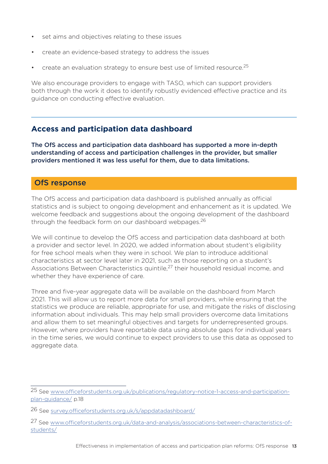- set aims and objectives relating to these issues
- create an evidence-based strategy to address the issues
- create an evaluation strategy to ensure best use of limited resource.  $2^5$

We also encourage providers to engage with TASO, which can support providers both through the work it does to identify robustly evidenced effective practice and its guidance on conducting effective evaluation.

#### **Access and participation data dashboard**

The OfS access and participation data dashboard has supported a more in-depth understanding of access and participation challenges in the provider, but smaller providers mentioned it was less useful for them, due to data limitations.

#### OfS response

The OfS access and participation data dashboard is published annually as official statistics and is subject to ongoing development and enhancement as it is updated. We welcome feedback and suggestions about the ongoing development of the dashboard through the feedback form on our dashboard webpages.<sup>26</sup>

We will continue to develop the OfS access and participation data dashboard at both a provider and sector level. In 2020, we added information about student's eligibility for free school meals when they were in school. We plan to introduce additional characteristics at sector level later in 2021, such as those reporting on a student's Associations Between Characteristics quintile,<sup>27</sup> their household residual income, and whether they have experience of care.

Three and five-year aggregate data will be available on the dashboard from March 2021. This will allow us to report more data for small providers, while ensuring that the statistics we produce are reliable, appropriate for use, and mitigate the risks of disclosing information about individuals. This may help small providers overcome data limitations and allow them to set meaningful objectives and targets for underrepresented groups. However, where providers have reportable data using absolute gaps for individual years in the time series, we would continue to expect providers to use this data as opposed to aggregate data.

<sup>25</sup> See www.officeforstudents.org.uk/publications/regulatory-notice-1-access-and-participationplan-guidance/ p.18

<sup>26</sup> See survey.officeforstudents.org.uk/s/appdatadashboard/

<sup>27</sup> See www.officeforstudents.org.uk/data-and-analysis/associations-between-characteristics-ofstudents/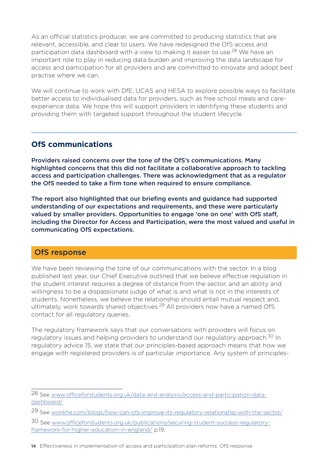As an official statistics producer, we are committed to producing statistics that are relevant, accessible, and clear to users. We have redesigned the OfS access and participation data dashboard with a view to making it easier to use.<sup>28</sup> We have an important role to play in reducing data burden and improving the data landscape for access and participation for all providers and are committed to innovate and adopt best practise where we can.

We will continue to work with DfE, UCAS and HESA to explore possible ways to facilitate better access to individualised data for providers, such as free school meals and careexperience data. We hope this will support providers in identifying these students and providing them with targeted support throughout the student lifecycle.

#### **OfS communications**

Providers raised concerns over the tone of the OfS's communications. Many highlighted concerns that this did not facilitate a collaborative approach to tackling access and participation challenges. There was acknowledgment that as a regulator the OfS needed to take a firm tone when required to ensure compliance.

The report also highlighted that our briefing events and guidance had supported understanding of our expectations and requirements, and these were particularly valued by smaller providers. Opportunities to engage 'one on one' with OfS staff, including the Director for Access and Participation, were the most valued and useful in communicating OfS expectations.

#### OfS response

We have been reviewing the tone of our communications with the sector. In a blog published last year, our Chief Executive outlined that we believe effective regulation in the student interest requires a degree of distance from the sector, and an ability and willingness to be a dispassionate judge of what is and what is not in the interests of students. Nonetheless, we believe the relationship should entail mutual respect and, ultimately, work towards shared objectives.<sup>29</sup> All providers now have a named OfS contact for all regulatory queries.

The regulatory framework says that our conversations with providers will focus on regulatory issues and helping providers to understand our regulatory approach.<sup>30</sup> In regulatory advice 15, we state that our principles-based approach means that how we engage with registered providers is of particular importance. Any system of principles-

<sup>28</sup> See www.officeforstudents.org.uk/data-and-analysis/access-and-participation-datadashboard/

<sup>29</sup> See wonkhe.com/blogs/how-can-ofs-improve-its-regulatory-relationship-with-the-sector/

<sup>30</sup> See www.officeforstudents.org.uk/publications/securing-student-success-regulatoryframework-for-higher-education-in-england/ p.19.

<sup>14</sup> Effectiveness in implementation of access and participation plan reforms: OfS response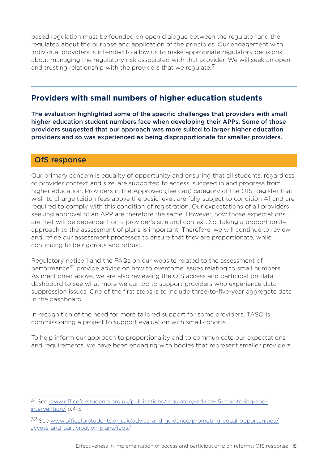based regulation must be founded on open dialogue between the regulator and the regulated about the purpose and application of the principles. Our engagement with individual providers is intended to allow us to make appropriate regulatory decisions about managing the regulatory risk associated with that provider. We will seek an open and trusting relationship with the providers that we regulate.<sup>31</sup>

#### **Providers with small numbers of higher education students**

The evaluation highlighted some of the specific challenges that providers with small higher education student numbers face when developing their APPs. Some of those providers suggested that our approach was more suited to larger higher education providers and so was experienced as being disproportionate for smaller providers.

#### OfS response

Our primary concern is equality of opportunity and ensuring that all students, regardless of provider context and size, are supported to access, succeed in and progress from higher education. Providers in the Approved (fee cap) category of the OfS Register that wish to charge tuition fees above the basic level, are fully subject to condition A1 and are required to comply with this condition of registration. Our expectations of all providers seeking approval of an APP are therefore the same. However, how those expectations are met will be dependent on a provider's size and context. So, taking a proportionate approach to the assessment of plans is important. Therefore, we will continue to review and refine our assessment processes to ensure that they are proportionate, while continuing to be rigorous and robust.

Regulatory notice 1 and the FAQs on our website related to the assessment of performance<sup>32</sup> provide advice on how to overcome issues relating to small numbers. As mentioned above, we are also reviewing the OfS access and participation data dashboard to see what more we can do to support providers who experience data suppression issues. One of the first steps is to include three-to-five-year aggregate data in the dashboard.

In recognition of the need for more tailored support for some providers, TASO is commissioning a project to support evaluation with small cohorts.

To help inform our approach to proportionality and to communicate our expectations and requirements, we have been engaging with bodies that represent smaller providers.

<sup>31</sup> See www.officeforstudents.org.uk/publications/regulatory-advice-15-monitoring-andintervention/ p.4-5.

<sup>32</sup> See www.officeforstudents.org.uk/advice-and-guidance/promoting-equal-opportunities/ access-and-participation-plans/faqs/